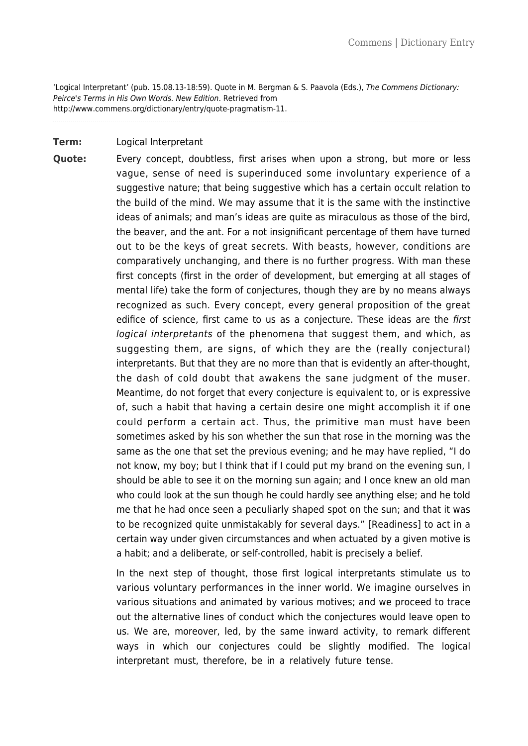'Logical Interpretant' (pub. 15.08.13-18:59). Quote in M. Bergman & S. Paavola (Eds.), The Commens Dictionary: Peirce's Terms in His Own Words. New Edition. Retrieved from http://www.commens.org/dictionary/entry/quote-pragmatism-11.

## **Term:** Logical Interpretant

**Quote:** Every concept, doubtless, first arises when upon a strong, but more or less vague, sense of need is superinduced some involuntary experience of a suggestive nature; that being suggestive which has a certain occult relation to the build of the mind. We may assume that it is the same with the instinctive ideas of animals; and man's ideas are quite as miraculous as those of the bird, the beaver, and the ant. For a not insignificant percentage of them have turned out to be the keys of great secrets. With beasts, however, conditions are comparatively unchanging, and there is no further progress. With man these first concepts (first in the order of development, but emerging at all stages of mental life) take the form of conjectures, though they are by no means always recognized as such. Every concept, every general proposition of the great edifice of science, first came to us as a conjecture. These ideas are the first logical interpretants of the phenomena that suggest them, and which, as suggesting them, are signs, of which they are the (really conjectural) interpretants. But that they are no more than that is evidently an after-thought, the dash of cold doubt that awakens the sane judgment of the muser. Meantime, do not forget that every conjecture is equivalent to, or is expressive of, such a habit that having a certain desire one might accomplish it if one could perform a certain act. Thus, the primitive man must have been sometimes asked by his son whether the sun that rose in the morning was the same as the one that set the previous evening; and he may have replied, "I do not know, my boy; but I think that if I could put my brand on the evening sun, I should be able to see it on the morning sun again; and I once knew an old man who could look at the sun though he could hardly see anything else; and he told me that he had once seen a peculiarly shaped spot on the sun; and that it was to be recognized quite unmistakably for several days." [Readiness] to act in a certain way under given circumstances and when actuated by a given motive is a habit; and a deliberate, or self-controlled, habit is precisely a belief.

> In the next step of thought, those first logical interpretants stimulate us to various voluntary performances in the inner world. We imagine ourselves in various situations and animated by various motives; and we proceed to trace out the alternative lines of conduct which the conjectures would leave open to us. We are, moreover, led, by the same inward activity, to remark different ways in which our conjectures could be slightly modified. The logical interpretant must, therefore, be in a relatively future tense.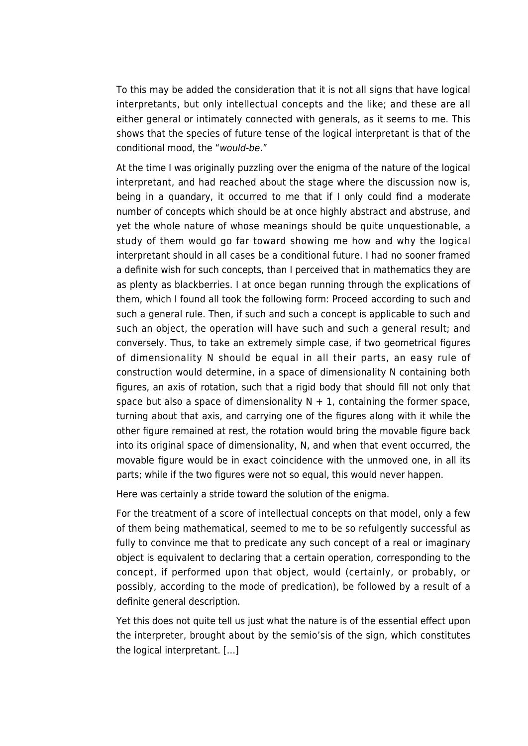To this may be added the consideration that it is not all signs that have logical interpretants, but only intellectual concepts and the like; and these are all either general or intimately connected with generals, as it seems to me. This shows that the species of future tense of the logical interpretant is that of the conditional mood, the "would-be."

At the time I was originally puzzling over the enigma of the nature of the logical interpretant, and had reached about the stage where the discussion now is, being in a quandary, it occurred to me that if I only could find a moderate number of concepts which should be at once highly abstract and abstruse, and yet the whole nature of whose meanings should be quite unquestionable, a study of them would go far toward showing me how and why the logical interpretant should in all cases be a conditional future. I had no sooner framed a definite wish for such concepts, than I perceived that in mathematics they are as plenty as blackberries. I at once began running through the explications of them, which I found all took the following form: Proceed according to such and such a general rule. Then, if such and such a concept is applicable to such and such an object, the operation will have such and such a general result; and conversely. Thus, to take an extremely simple case, if two geometrical figures of dimensionality N should be equal in all their parts, an easy rule of construction would determine, in a space of dimensionality N containing both figures, an axis of rotation, such that a rigid body that should fill not only that space but also a space of dimensionality  $N + 1$ , containing the former space, turning about that axis, and carrying one of the figures along with it while the other figure remained at rest, the rotation would bring the movable figure back into its original space of dimensionality, N, and when that event occurred, the movable figure would be in exact coincidence with the unmoved one, in all its parts; while if the two figures were not so equal, this would never happen.

Here was certainly a stride toward the solution of the enigma.

For the treatment of a score of intellectual concepts on that model, only a few of them being mathematical, seemed to me to be so refulgently successful as fully to convince me that to predicate any such concept of a real or imaginary object is equivalent to declaring that a certain operation, corresponding to the concept, if performed upon that object, would (certainly, or probably, or possibly, according to the mode of predication), be followed by a result of a definite general description.

Yet this does not quite tell us just what the nature is of the essential effect upon the interpreter, brought about by the semio'sis of the sign, which constitutes the logical interpretant. […]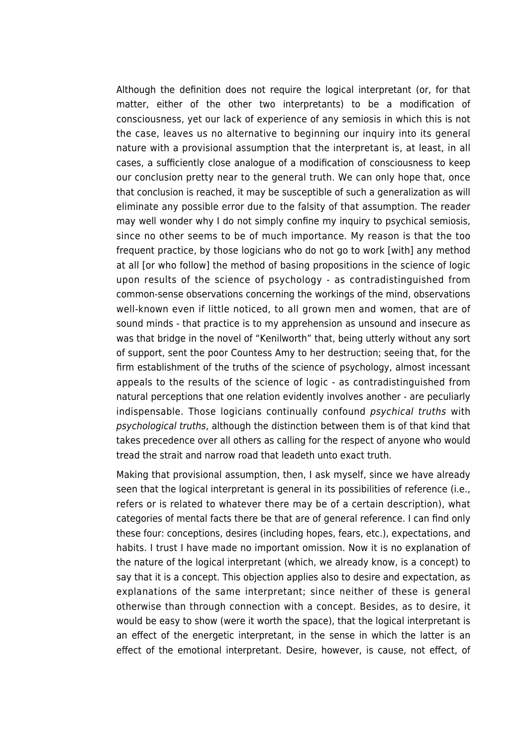Although the definition does not require the logical interpretant (or, for that matter, either of the other two interpretants) to be a modification of consciousness, yet our lack of experience of any semiosis in which this is not the case, leaves us no alternative to beginning our inquiry into its general nature with a provisional assumption that the interpretant is, at least, in all cases, a sufficiently close analogue of a modification of consciousness to keep our conclusion pretty near to the general truth. We can only hope that, once that conclusion is reached, it may be susceptible of such a generalization as will eliminate any possible error due to the falsity of that assumption. The reader may well wonder why I do not simply confine my inquiry to psychical semiosis, since no other seems to be of much importance. My reason is that the too frequent practice, by those logicians who do not go to work [with] any method at all [or who follow] the method of basing propositions in the science of logic upon results of the science of psychology - as contradistinguished from common-sense observations concerning the workings of the mind, observations well-known even if little noticed, to all grown men and women, that are of sound minds - that practice is to my apprehension as unsound and insecure as was that bridge in the novel of "Kenilworth" that, being utterly without any sort of support, sent the poor Countess Amy to her destruction; seeing that, for the firm establishment of the truths of the science of psychology, almost incessant appeals to the results of the science of logic - as contradistinguished from natural perceptions that one relation evidently involves another - are peculiarly indispensable. Those logicians continually confound psychical truths with psychological truths, although the distinction between them is of that kind that takes precedence over all others as calling for the respect of anyone who would tread the strait and narrow road that leadeth unto exact truth.

Making that provisional assumption, then, I ask myself, since we have already seen that the logical interpretant is general in its possibilities of reference (i.e., refers or is related to whatever there may be of a certain description), what categories of mental facts there be that are of general reference. I can find only these four: conceptions, desires (including hopes, fears, etc.), expectations, and habits. I trust I have made no important omission. Now it is no explanation of the nature of the logical interpretant (which, we already know, is a concept) to say that it is a concept. This objection applies also to desire and expectation, as explanations of the same interpretant; since neither of these is general otherwise than through connection with a concept. Besides, as to desire, it would be easy to show (were it worth the space), that the logical interpretant is an effect of the energetic interpretant, in the sense in which the latter is an effect of the emotional interpretant. Desire, however, is cause, not effect, of